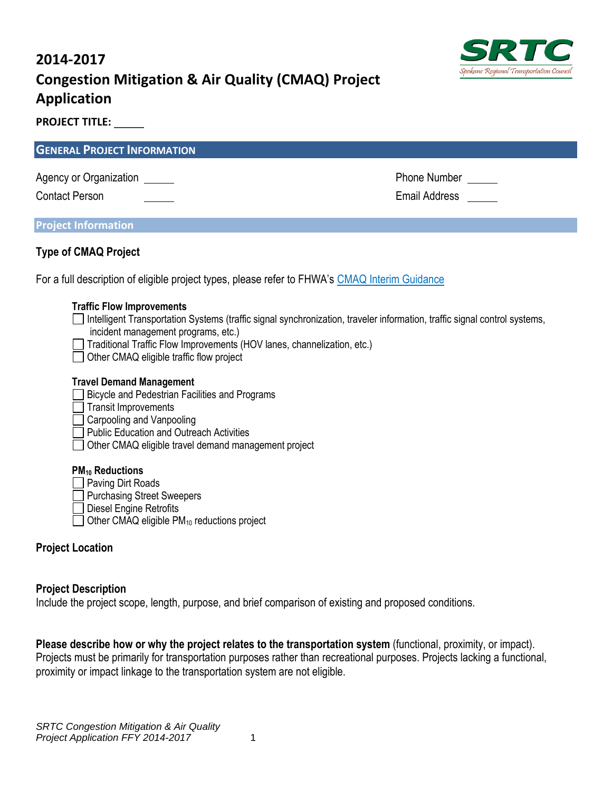# **2014-2017 Congestion Mitigation & Air Quality (CMAQ) Project Application**



**PROJECT TITLE:** 

| <b>GENERAL PROJECT INFORMATION</b>                                                                                                                                                                                                                                                                                          |               |  |
|-----------------------------------------------------------------------------------------------------------------------------------------------------------------------------------------------------------------------------------------------------------------------------------------------------------------------------|---------------|--|
| Agency or Organization                                                                                                                                                                                                                                                                                                      | Phone Number  |  |
| <b>Contact Person</b>                                                                                                                                                                                                                                                                                                       | Email Address |  |
| <b>Project Information</b>                                                                                                                                                                                                                                                                                                  |               |  |
|                                                                                                                                                                                                                                                                                                                             |               |  |
| <b>Type of CMAQ Project</b>                                                                                                                                                                                                                                                                                                 |               |  |
| For a full description of eligible project types, please refer to FHWA's CMAQ Interim Guidance                                                                                                                                                                                                                              |               |  |
| <b>Traffic Flow Improvements</b><br>Intelligent Transportation Systems (traffic signal synchronization, traveler information, traffic signal control systems,<br>incident management programs, etc.)<br>Traditional Traffic Flow Improvements (HOV lanes, channelization, etc.)<br>Other CMAQ eligible traffic flow project |               |  |
| <b>Travel Demand Management</b><br>Bicycle and Pedestrian Facilities and Programs<br><b>Transit Improvements</b><br>Carpooling and Vanpooling<br><b>Public Education and Outreach Activities</b><br>Other CMAQ eligible travel demand management project                                                                    |               |  |

## **PM<sup>10</sup> Reductions**

- **Paving Dirt Roads**
- Purchasing Street Sweepers
- Diesel Engine Retrofits
- $\Box$  Other CMAQ eligible PM<sub>10</sub> reductions project

# **Project Location**

# **Project Description**

Include the project scope, length, purpose, and brief comparison of existing and proposed conditions.

**Please describe how or why the project relates to the transportation system** (functional, proximity, or impact). Projects must be primarily for transportation purposes rather than recreational purposes. Projects lacking a functional, proximity or impact linkage to the transportation system are not eligible.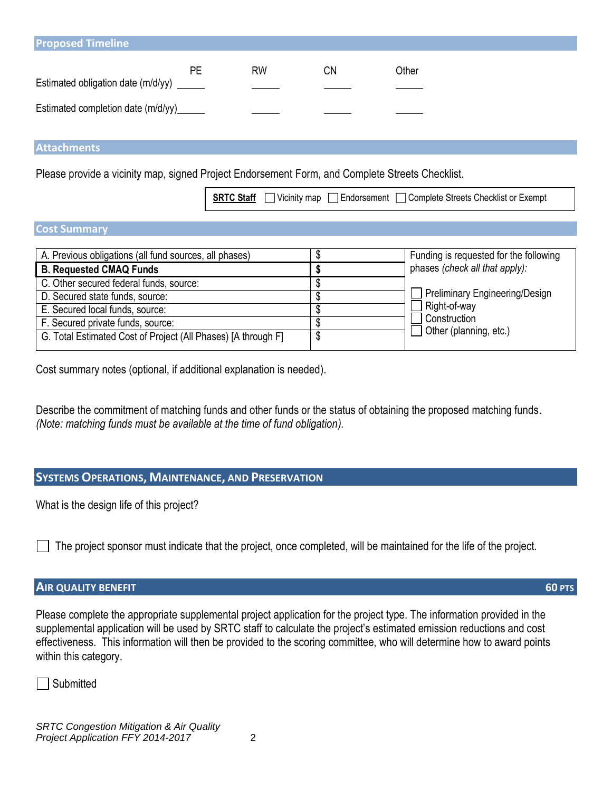| <b>Proposed Timeline</b>                  |    |           |    |       |
|-------------------------------------------|----|-----------|----|-------|
| Estimated obligation date (m/d/yy) ______ | РE | <b>RW</b> | CΝ | Other |
| Estimated completion date (m/d/yy)______  |    |           |    |       |

**Attachments**

Please provide a vicinity map, signed Project Endorsement Form, and Complete Streets Checklist.

**SRTC Staff**  $\Box$  Vicinity map  $\Box$  Endorsement  $\Box$  Complete Streets Checklist or Exempt

#### **Cost Summary**

| A. Previous obligations (all fund sources, all phases)        |  | Funding is requested for the following                 |
|---------------------------------------------------------------|--|--------------------------------------------------------|
| <b>B. Requested CMAQ Funds</b>                                |  | phases (check all that apply):                         |
| C. Other secured federal funds, source:                       |  |                                                        |
| D. Secured state funds, source:                               |  | Preliminary Engineering/Design                         |
| E. Secured local funds, source:                               |  | Right-of-way<br>Construction<br>Other (planning, etc.) |
| F. Secured private funds, source:                             |  |                                                        |
| G. Total Estimated Cost of Project (All Phases) [A through F] |  |                                                        |

Cost summary notes (optional, if additional explanation is needed).

Describe the commitment of matching funds and other funds or the status of obtaining the proposed matching funds. *(Note: matching funds must be available at the time of fund obligation).*

#### **SYSTEMS OPERATIONS, MAINTENANCE, AND PRESERVATION**

What is the design life of this project?

The project sponsor must indicate that the project, once completed, will be maintained for the life of the project.

### **AIR QUALITY BENEFIT 60 PTS**

Please complete the appropriate supplemental project application for the project type. The information provided in the supplemental application will be used by SRTC staff to calculate the project's estimated emission reductions and cost effectiveness. This information will then be provided to the scoring committee, who will determine how to award points within this category.

Submitted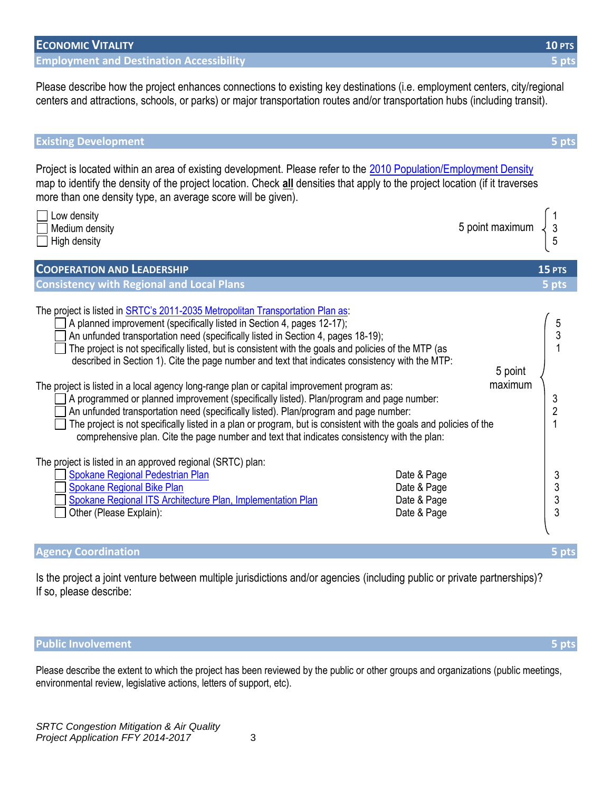| <b>ECONOMIC VITALITY</b>                        | <b>10 PTS 1</b> |
|-------------------------------------------------|-----------------|
| <b>Employment and Destination Accessibility</b> | $5$ pts         |

Please describe how the project enhances connections to existing key destinations (i.e. employment centers, city/regional centers and attractions, schools, or parks) or major transportation routes and/or transportation hubs (including transit).

| <b>Existing Development</b>                                                                                                                                                                                                                                                                                                                                                                                                                                                                                                                                                                                                                                                                                                                                                                                                                                                                                                                                     |                    | 5 pts                                      |
|-----------------------------------------------------------------------------------------------------------------------------------------------------------------------------------------------------------------------------------------------------------------------------------------------------------------------------------------------------------------------------------------------------------------------------------------------------------------------------------------------------------------------------------------------------------------------------------------------------------------------------------------------------------------------------------------------------------------------------------------------------------------------------------------------------------------------------------------------------------------------------------------------------------------------------------------------------------------|--------------------|--------------------------------------------|
| Project is located within an area of existing development. Please refer to the 2010 Population/Employment Density<br>map to identify the density of the project location. Check all densities that apply to the project location (if it traverses<br>more than one density type, an average score will be given).                                                                                                                                                                                                                                                                                                                                                                                                                                                                                                                                                                                                                                               |                    |                                            |
| Low density<br>Medium density<br>High density                                                                                                                                                                                                                                                                                                                                                                                                                                                                                                                                                                                                                                                                                                                                                                                                                                                                                                                   | 5 point maximum    | $\frac{3}{5}$                              |
| <b>COOPERATION AND LEADERSHIP</b>                                                                                                                                                                                                                                                                                                                                                                                                                                                                                                                                                                                                                                                                                                                                                                                                                                                                                                                               |                    | 15 PTS                                     |
| <b>Consistency with Regional and Local Plans</b>                                                                                                                                                                                                                                                                                                                                                                                                                                                                                                                                                                                                                                                                                                                                                                                                                                                                                                                |                    | 5 pts                                      |
| The project is listed in SRTC's 2011-2035 Metropolitan Transportation Plan as:<br>A planned improvement (specifically listed in Section 4, pages 12-17);<br>An unfunded transportation need (specifically listed in Section 4, pages 18-19);<br>The project is not specifically listed, but is consistent with the goals and policies of the MTP (as<br>described in Section 1). Cite the page number and text that indicates consistency with the MTP:<br>The project is listed in a local agency long-range plan or capital improvement program as:<br>] A programmed or planned improvement (specifically listed). Plan/program and page number:<br>An unfunded transportation need (specifically listed). Plan/program and page number:<br>The project is not specifically listed in a plan or program, but is consistent with the goals and policies of the<br>comprehensive plan. Cite the page number and text that indicates consistency with the plan: | 5 point<br>maximum | $\frac{5}{3}$<br>$\frac{3}{2}$             |
| The project is listed in an approved regional (SRTC) plan:<br>Spokane Regional Pedestrian Plan<br>Date & Page<br>Spokane Regional Bike Plan<br>Date & Page<br>Spokane Regional ITS Architecture Plan, Implementation Plan<br>Date & Page<br>Other (Please Explain):<br>Date & Page                                                                                                                                                                                                                                                                                                                                                                                                                                                                                                                                                                                                                                                                              |                    | $\begin{array}{c} 3 \\ 3 \\ 3 \end{array}$ |
| <b>Agency Coordination</b>                                                                                                                                                                                                                                                                                                                                                                                                                                                                                                                                                                                                                                                                                                                                                                                                                                                                                                                                      |                    | 5 pts                                      |

Is the project a joint venture between multiple jurisdictions and/or agencies (including public or private partnerships)? If so, please describe:

# **Public Involvement 5 pts**

Please describe the extent to which the project has been reviewed by the public or other groups and organizations (public meetings, environmental review, legislative actions, letters of support, etc).